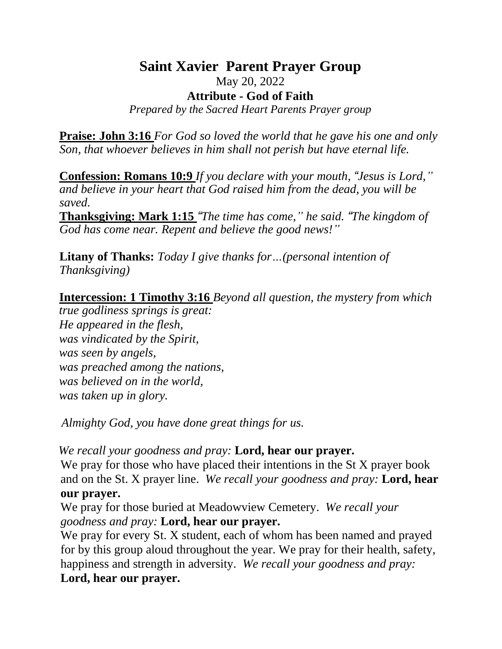## **Saint Xavier Parent Prayer Group** May 20, 2022 **Attribute - God of Faith** *Prepared by the Sacred Heart Parents Prayer group*

**Praise: John 3:16** *For God so loved the world that he gave his one and only Son, that whoever believes in him shall not perish but have eternal life.*

**Confession: Romans 10:9** *If you declare with your mouth, "Jesus is Lord," and believe in your heart that God raised him from the dead, you will be saved.* 

**Thanksgiving: Mark 1:15** *"The time has come," he said. "The kingdom of God has come near. Repent and believe the good news!"*

**Litany of Thanks:** *Today I give thanks for…(personal intention of Thanksgiving)*

**Intercession: 1 Timothy 3:16** *Beyond all question, the mystery from which* 

*true godliness springs is great: He appeared in the flesh, was vindicated by the Spirit, was seen by angels, was preached among the nations, was believed on in the world, was taken up in glory.*

*Almighty God, you have done great things for us.* 

*We recall your goodness and pray:* **Lord, hear our prayer.**

We pray for those who have placed their intentions in the St X prayer book and on the St. X prayer line. *We recall your goodness and pray:* **Lord, hear our prayer.**

We pray for those buried at Meadowview Cemetery. *We recall your goodness and pray:* **Lord, hear our prayer.**

We pray for every St. X student, each of whom has been named and prayed for by this group aloud throughout the year. We pray for their health, safety, happiness and strength in adversity. *We recall your goodness and pray:* **Lord, hear our prayer.**